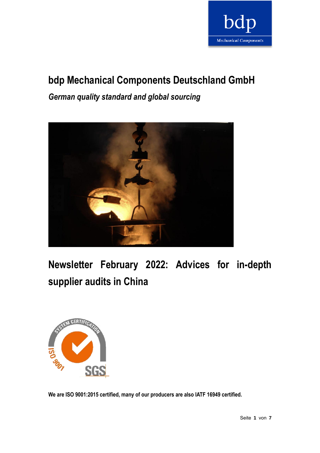

# **bdp Mechanical Components Deutschland GmbH**

*German quality standard and global sourcing*



**Newsletter February 2022: Advices for in-depth supplier audits in China**



**We are ISO 9001:2015 certified, many of our producers are also IATF 16949 certified.**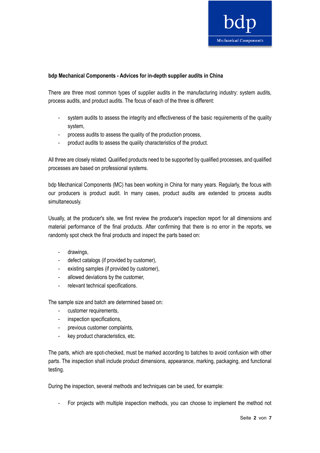

### **bdp Mechanical Components - Advices for in-depth supplier audits in China**

There are three most common types of supplier audits in the manufacturing industry: system audits, process audits, and product audits. The focus of each of the three is different:

- system audits to assess the integrity and effectiveness of the basic requirements of the quality system,
- process audits to assess the quality of the production process,
- product audits to assess the quality characteristics of the product.

All three are closely related. Qualified products need to be supported by qualified processes, and qualified processes are based on professional systems.

bdp Mechanical Components (MC) has been working in China for many years. Regularly, the focus with our producers is product audit. In many cases, product audits are extended to process audits simultaneously.

Usually, at the producer's site, we first review the producer's inspection report for all dimensions and material performance of the final products. After confirming that there is no error in the reports, we randomly spot check the final products and inspect the parts based on:

- drawings,
- defect catalogs (if provided by customer),
- existing samples (if provided by customer),
- allowed deviations by the customer,
- relevant technical specifications.

The sample size and batch are determined based on:

- customer requirements,
- inspection specifications,
- previous customer complaints,
- key product characteristics, etc.

The parts, which are spot-checked, must be marked according to batches to avoid confusion with other parts. The inspection shall include product dimensions, appearance, marking, packaging, and functional testing.

During the inspection, several methods and techniques can be used, for example:

- For projects with multiple inspection methods, you can choose to implement the method not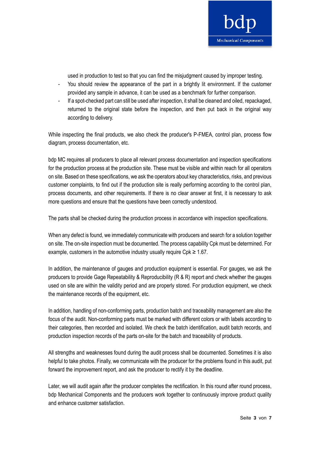

used in production to test so that you can find the misjudgment caused by improper testing.

- You should review the appearance of the part in a brightly lit environment. If the customer provided any sample in advance, it can be used as a benchmark for further comparison.
- If a spot-checked part can still be used after inspection, it shall be cleaned and oiled, repackaged, returned to the original state before the inspection, and then put back in the original way according to delivery.

While inspecting the final products, we also check the producer's P-FMEA, control plan, process flow diagram, process documentation, etc.

bdp MC requires all producers to place all relevant process documentation and inspection specifications for the production process at the production site. These must be visible and within reach for all operators on site. Based on these specifications, we ask the operators about key characteristics, risks, and previous customer complaints, to find out if the production site is really performing according to the control plan, process documents, and other requirements. If there is no clear answer at first, it is necessary to ask more questions and ensure that the questions have been correctly understood.

The parts shall be checked during the production process in accordance with inspection specifications.

When any defect is found, we immediately communicate with producers and search for a solution together on site. The on-site inspection must be documented. The process capability Cpk must be determined. For example, customers in the automotive industry usually require  $Cpk \geq 1.67$ .

In addition, the maintenance of gauges and production equipment is essential. For gauges, we ask the producers to provide Gage Repeatability & Reproducibility ( $R \& R$ ) report and check whether the gauges used on site are within the validity period and are properly stored. For production equipment, we check the maintenance records of the equipment, etc.

In addition, handling of non-conforming parts, production batch and traceability management are also the focus of the audit. Non-conforming parts must be marked with different colors or with labels according to their categories, then recorded and isolated. We check the batch identification, audit batch records, and production inspection records of the parts on-site for the batch and traceability of products.

All strengths and weaknesses found during the audit process shall be documented. Sometimes it is also helpful to take photos. Finally, we communicate with the producer for the problems found in this audit, put forward the improvement report, and ask the producer to rectify it by the deadline.

Later, we will audit again after the producer completes the rectification. In this round after round process, bdp Mechanical Components and the producers work together to continuously improve product quality and enhance customer satisfaction.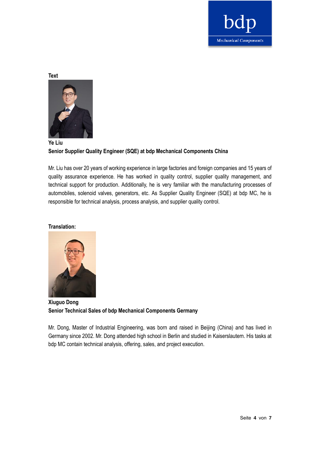

**Text**



# **Ye Liu Senior Supplier Quality Engineer (SQE) at bdp Mechanical Components China**

Mr. Liu has over 20 years of working experience in large factories and foreign companies and 15 years of quality assurance experience. He has worked in quality control, supplier quality management, and technical support for production. Additionally, he is very familiar with the manufacturing processes of automobiles, solenoid valves, generators, etc. As Supplier Quality Engineer (SQE) at bdp MC, he is responsible for technical analysis, process analysis, and supplier quality control.

### **Translation:**



**Xiuguo Dong Senior Technical Sales of bdp Mechanical Components Germany**

Mr. Dong, Master of Industrial Engineering, was born and raised in Beijing (China) and has lived in Germany since 2002. Mr. Dong attended high school in Berlin and studied in Kaiserslautern. His tasks at bdp MC contain technical analysis, offering, sales, and project execution.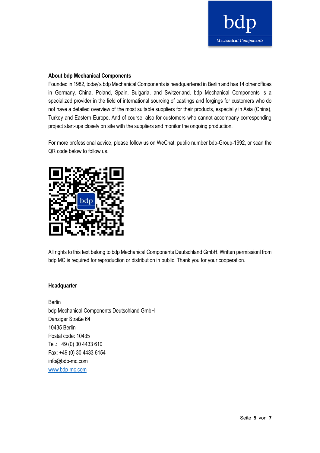

#### **About bdp Mechanical Components**

Founded in 1982, today's bdp Mechanical Components is headquartered in Berlin and has 14 other offices in Germany, China, Poland, Spain, Bulgaria, and Switzerland. bdp Mechanical Components is a specialized provider in the field of international sourcing of castings and forgings for customers who do not have a detailed overview of the most suitable suppliers for their products, especially in Asia (China), Turkey and Eastern Europe. And of course, also for customers who cannot accompany corresponding project start-ups closely on site with the suppliers and monitor the ongoing production.

For more professional advice, please follow us on WeChat: public number bdp-Group-1992, or scan the QR code below to follow us.



All rights to this text belong to bdp Mechanical Components Deutschland GmbH. Written permissionl from bdp MC is required for reproduction or distribution in public. Thank you for your cooperation.

#### **Headquarter**

Berlin bdp Mechanical Components Deutschland GmbH Danziger Straße 64 10435 Berlin Postal code: 10435 Tel.: +49 (0) 30 4433 610 Fax: +49 (0) 30 4433 6154 info@bdp-mc.com [www.bdp-mc.com](http://www.bdp-mc.com/)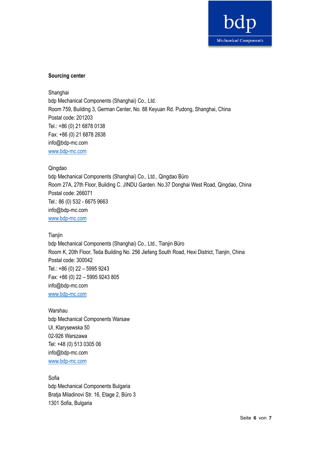

## **Sourcing center**

Shanghai bdp Mechanical Components (Shanghai) Co., Ltd. Room 759, Building 3, German Center, No. 88 Keyuan Rd. Pudong, Shanghai, China Postal code: 201203 Tel.: +86 (0) 21 6878 0138 Fax: +86 (0) 21 6878 2638 info@bdp-mc.com [www.bdp-mc.com](http://www.bdp-mc.com/)

#### Qingdao

bdp Mechanical Components (Shanghai) Co., Ltd., Qingdao Büro Room 27A, 27th Floor, Building C. JINDU Garden. No.37 Donghai West Road, Qingdao, China Postal code: 266071 Tel.: 86 (0) 532 - 6675 9663 info@bdp-mc.com [www.bdp-mc.com](http://www.bdp-mc.com/)

#### **Tianjin**

bdp Mechanical Components (Shanghai) Co., Ltd., Tianjin Büro Room K, 20th Floor, Teda Building No. 256 Jiefang South Road, Hexi District, Tianjin, China Postal code: 300042 Tel.: +86 (0) 22 – 5995 9243 Fax: +86 (0) 22 – 5995 9243 805 info@bdp-mc.com [www.bdp-mc.com](http://www.bdp-mc.com/)

# Warshau bdp Mechanical Components Warsaw Ul. Klarysewska 50 02-926 Warszawa Tel: +48 (0) 513 0305 06 info@bdp-mc.com [www.bdp-mc.com](http://www.bdp-mc.com/)

Sofia bdp Mechanical Components Bulgaria Bratja Miladinovi Str. 16, Etage 2, Büro 3 1301 Sofia, Bulgaria